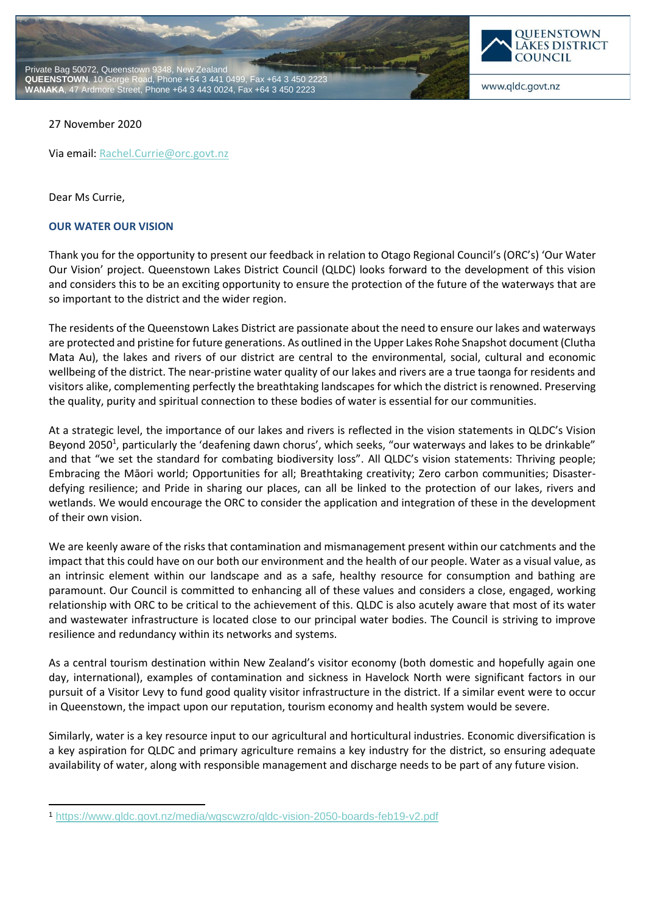



www.qldc.govt.nz

## 27 November 2020

Via email[: Rachel.Currie@orc.govt.nz](mailto:Rachel.Currie@orc.govt.nz)

Dear Ms Currie,

-

## **OUR WATER OUR VISION**

Thank you for the opportunity to present our feedback in relation to Otago Regional Council's (ORC's) 'Our Water Our Vision' project. Queenstown Lakes District Council (QLDC) looks forward to the development of this vision and considers this to be an exciting opportunity to ensure the protection of the future of the waterways that are so important to the district and the wider region.

The residents of the Queenstown Lakes District are passionate about the need to ensure our lakes and waterways are protected and pristine for future generations. As outlined in the Upper Lakes Rohe Snapshot document (Clutha Mata Au), the lakes and rivers of our district are central to the environmental, social, cultural and economic wellbeing of the district. The near-pristine water quality of our lakes and rivers are a true taonga for residents and visitors alike, complementing perfectly the breathtaking landscapes for which the district is renowned. Preserving the quality, purity and spiritual connection to these bodies of water is essential for our communities.

At a strategic level, the importance of our lakes and rivers is reflected in the vision statements in QLDC's Vision Beyond 2050<sup>1</sup>, particularly the 'deafening dawn chorus', which seeks, "our waterways and lakes to be drinkable" and that "we set the standard for combating biodiversity loss". All QLDC's vision statements: Thriving people; Embracing the Māori world; Opportunities for all; Breathtaking creativity; Zero carbon communities; Disasterdefying resilience; and Pride in sharing our places, can all be linked to the protection of our lakes, rivers and wetlands. We would encourage the ORC to consider the application and integration of these in the development of their own vision.

We are keenly aware of the risks that contamination and mismanagement present within our catchments and the impact that this could have on our both our environment and the health of our people. Water as a visual value, as an intrinsic element within our landscape and as a safe, healthy resource for consumption and bathing are paramount. Our Council is committed to enhancing all of these values and considers a close, engaged, working relationship with ORC to be critical to the achievement of this. QLDC is also acutely aware that most of its water and wastewater infrastructure is located close to our principal water bodies. The Council is striving to improve resilience and redundancy within its networks and systems.

As a central tourism destination within New Zealand's visitor economy (both domestic and hopefully again one day, international), examples of contamination and sickness in Havelock North were significant factors in our pursuit of a Visitor Levy to fund good quality visitor infrastructure in the district. If a similar event were to occur in Queenstown, the impact upon our reputation, tourism economy and health system would be severe.

Similarly, water is a key resource input to our agricultural and horticultural industries. Economic diversification is a key aspiration for QLDC and primary agriculture remains a key industry for the district, so ensuring adequate availability of water, along with responsible management and discharge needs to be part of any future vision.

<sup>1</sup> <https://www.qldc.govt.nz/media/wgscwzro/qldc-vision-2050-boards-feb19-v2.pdf>